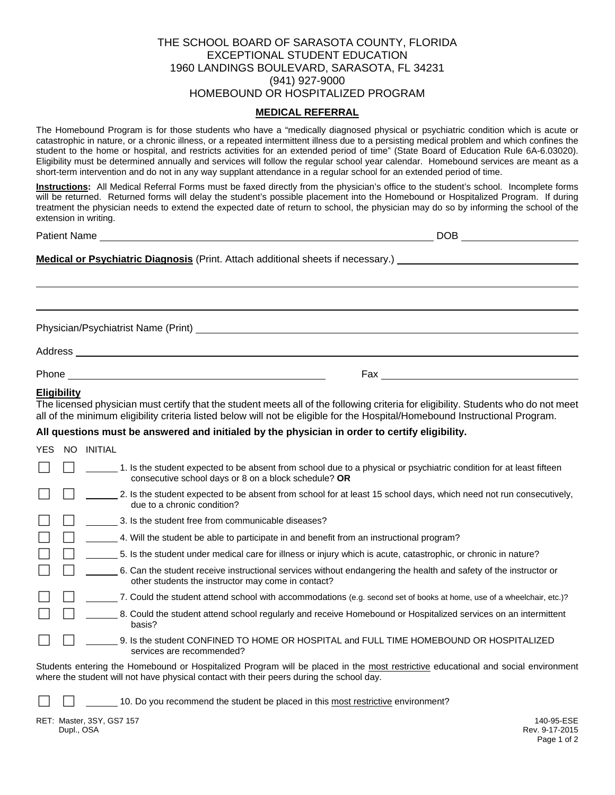## THE SCHOOL BOARD OF SARASOTA COUNTY, FLORIDA EXCEPTIONAL STUDENT EDUCATION 1960 LANDINGS BOULEVARD, SARASOTA, FL 34231 (941) 927-9000 HOMEBOUND OR HOSPITALIZED PROGRAM

## **MEDICAL REFERRAL**

The Homebound Program is for those students who have a "medically diagnosed physical or psychiatric condition which is acute or catastrophic in nature, or a chronic illness, or a repeated intermittent illness due to a persisting medical problem and which confines the student to the home or hospital, and restricts activities for an extended period of time" (State Board of Education Rule 6A-6.03020). Eligibility must be determined annually and services will follow the regular school year calendar. Homebound services are meant as a short-term intervention and do not in any way supplant attendance in a regular school for an extended period of time.

**Instructions:** All Medical Referral Forms must be faxed directly from the physician's office to the student's school. Incomplete forms will be returned. Returned forms will delay the student's possible placement into the Homebound or Hospitalized Program. If during treatment the physician needs to extend the expected date of return to school, the physician may do so by informing the school of the extension in writing.

|                    |                                                                                                                                                                                                                                                                   | DOB _________________ |
|--------------------|-------------------------------------------------------------------------------------------------------------------------------------------------------------------------------------------------------------------------------------------------------------------|-----------------------|
|                    | Medical or Psychiatric Diagnosis (Print. Attach additional sheets if necessary.) _____________________________                                                                                                                                                    |                       |
|                    |                                                                                                                                                                                                                                                                   |                       |
|                    |                                                                                                                                                                                                                                                                   |                       |
|                    |                                                                                                                                                                                                                                                                   |                       |
|                    |                                                                                                                                                                                                                                                                   |                       |
|                    |                                                                                                                                                                                                                                                                   |                       |
| <b>Eligibility</b> | The licensed physician must certify that the student meets all of the following criteria for eligibility. Students who do not meet<br>all of the minimum eligibility criteria listed below will not be eligible for the Hospital/Homebound Instructional Program. |                       |

## **All questions must be answered and initialed by the physician in order to certify eligibility.**

| <b>YES</b> | -NO | <b>INITIAL</b>                                                                                                                                                                                                                |
|------------|-----|-------------------------------------------------------------------------------------------------------------------------------------------------------------------------------------------------------------------------------|
|            |     | 1. Is the student expected to be absent from school due to a physical or psychiatric condition for at least fifteen<br>consecutive school days or 8 on a block schedule? OR                                                   |
|            |     | 2. Is the student expected to be absent from school for at least 15 school days, which need not run consecutively,<br>due to a chronic condition?                                                                             |
|            |     | 3. Is the student free from communicable diseases?                                                                                                                                                                            |
|            |     | 4. Will the student be able to participate in and benefit from an instructional program?                                                                                                                                      |
|            |     | 5. Is the student under medical care for illness or injury which is acute, catastrophic, or chronic in nature?                                                                                                                |
|            |     | 6. Can the student receive instructional services without endangering the health and safety of the instructor or<br>other students the instructor may come in contact?                                                        |
|            |     | 7. Could the student attend school with accommodations (e.g. second set of books at home, use of a wheelchair, etc.)?                                                                                                         |
|            |     | 8. Could the student attend school regularly and receive Homebound or Hospitalized services on an intermittent<br>basis?                                                                                                      |
|            |     | 9. Is the student CONFINED TO HOME OR HOSPITAL and FULL TIME HOMEBOUND OR HOSPITALIZED<br>services are recommended?                                                                                                           |
|            |     | Students entering the Homebound or Hospitalized Program will be placed in the most restrictive educational and social environment<br>where the student will not have physical contact with their peers during the school day. |
|            |     | 10. Do you recommend the student be placed in this most restrictive environment?                                                                                                                                              |
|            |     | RET: Master, 3SY, GS7 157<br>140-95-ESE                                                                                                                                                                                       |